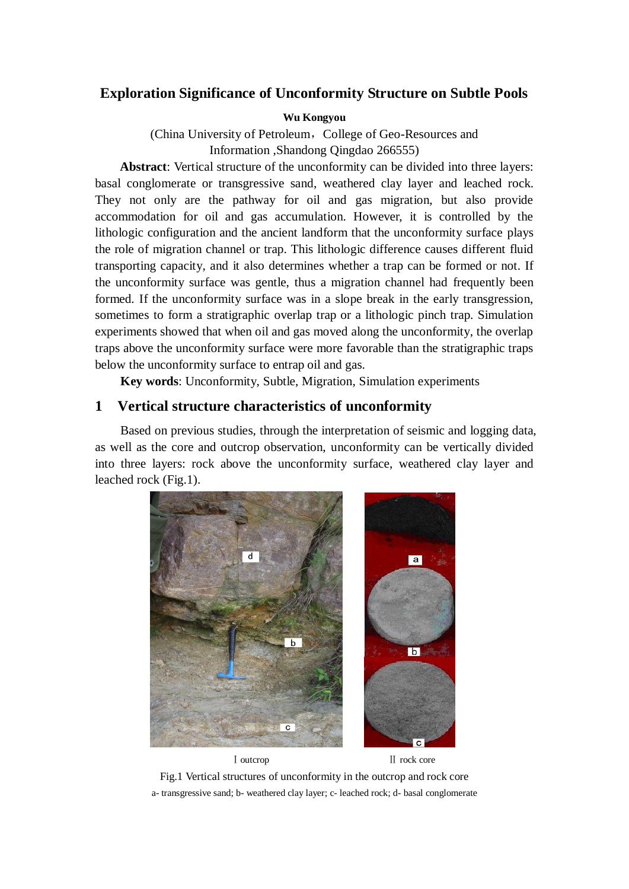# **Exploration Significance of Unconformity Structure on Subtle Pools**

### **Wu Kongyou**

(China University of Petroleum, College of Geo-Resources and Information ,Shandong Qingdao 266555)

**Abstract**: Vertical structure of the unconformity can be divided into three layers: basal conglomerate or transgressive sand, weathered clay layer and leached rock. They not only are the pathway for oil and gas migration, but also provide accommodation for oil and gas accumulation. However, it is controlled by the lithologic configuration and the ancient landform that the unconformity surface plays the role of migration channel or trap. This lithologic difference causes different fluid transporting capacity, and it also determines whether a trap can be formed or not. If the unconformity surface was gentle, thus a migration channel had frequently been formed. If the unconformity surface was in a slope break in the early transgression, sometimes to form a stratigraphic overlap trap or a lithologic pinch trap. Simulation experiments showed that when oil and gas moved along the unconformity, the overlap traps above the unconformity surface were more favorable than the stratigraphic traps below the unconformity surface to entrap oil and gas.

**Key words**: Unconformity, Subtle, Migration, Simulation experiments

# **1 Vertical structure characteristics of unconformity**

Based on previous studies, through the interpretation of seismic and logging data, as well as the core and outcrop observation, unconformity can be vertically divided into three layers: rock above the unconformity surface, weathered clay layer and leached rock (Fig.1).



Fig.1 Vertical structures of unconformity in the outcrop and rock core a- transgressive sand; b- weathered clay layer; c- leached rock; d- basal conglomerate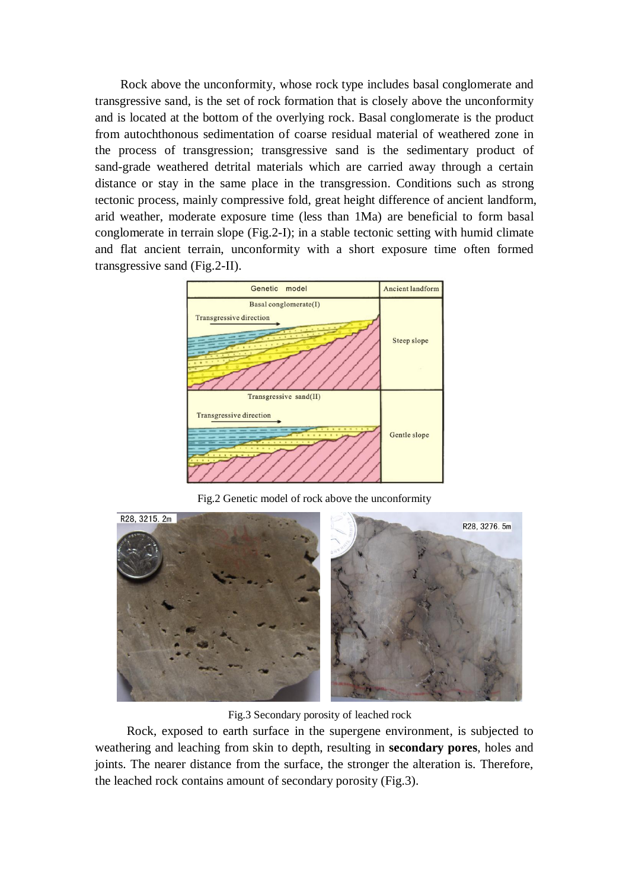Rock above the unconformity, whose rock type includes basal conglomerate and transgressive sand, is the set of rock formation that is closely above the unconformity and is located at the bottom of the overlying rock. Basal conglomerate is the product from autochthonous sedimentation of coarse residual material of weathered zone in the process of transgression; transgressive sand is the sedimentary product of sand-grade weathered detrital materials which are carried away through a certain distance or stay in the same place in the transgression. Conditions such as strong tectonic process, mainly compressive fold, great height difference of ancient landform, arid weather, moderate exposure time (less than 1Ma) are beneficial to form basal conglomerate in terrain slope (Fig.2-I); in a stable tectonic setting with humid climate and flat ancient terrain, unconformity with a short exposure time often formed transgressive sand (Fig.2-II).



Fig.2 Genetic model of rock above the unconformity



Fig.3 Secondary porosity of leached rock

Rock, exposed to earth surface in the supergene environment, is subjected to weathering and leaching from skin to depth, resulting in **secondary pores**, holes and joints. The nearer distance from the surface, the stronger the alteration is. Therefore, the leached rock contains amount of secondary porosity (Fig.3).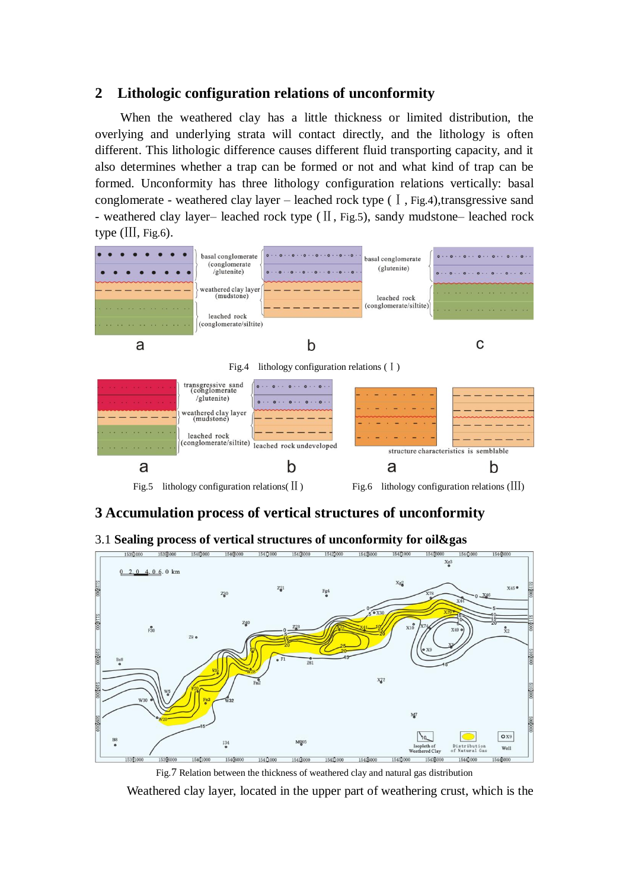# **2 Lithologic configuration relations of unconformity**

When the weathered clay has a little thickness or limited distribution, the overlying and underlying strata will contact directly, and the lithology is often different. This lithologic difference causes different fluid transporting capacity, and it also determines whether a trap can be formed or not and what kind of trap can be formed. Unconformity has three lithology configuration relations vertically: basal conglomerate - weathered clay layer – leached rock type  $(I, Fig.4)$ , transgressive sand - weathered clay layer– leached rock type (Ⅱ, Fig.5), sandy mudstone– leached rock type (Ⅲ, Fig.6).



# **3 Accumulation process of vertical structures of unconformity**

### 3.1 **Sealing process of vertical structures of unconformity for oil&gas**



Fig.7 Relation between the thickness of weathered clay and natural gas distribution

Weathered clay layer, located in the upper part of weathering crust, which is the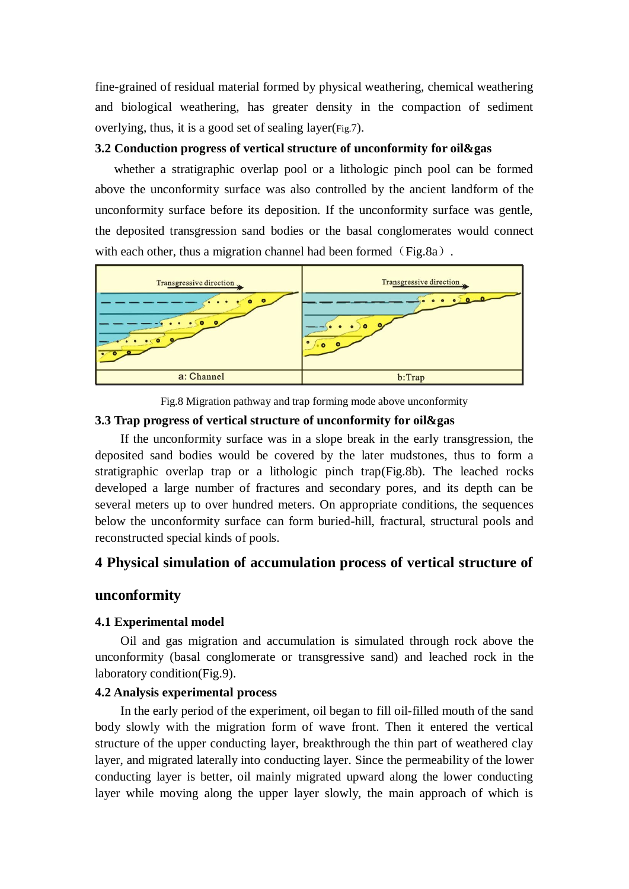fine-grained of residual material formed by physical weathering, chemical weathering and biological weathering, has greater density in the compaction of sediment overlying, thus, it is a good set of sealing layer(Fig.7).

### **3.2 Conduction progress of vertical structure of unconformity for oil&gas**

whether a stratigraphic overlap pool or a lithologic pinch pool can be formed above the unconformity surface was also controlled by the ancient landform of the unconformity surface before its deposition. If the unconformity surface was gentle, the deposited transgression sand bodies or the basal conglomerates would connect with each other, thus a migration channel had been formed  $(Fig.8a)$ .



Fig.8 Migration pathway and trap forming mode above unconformity

### **3.3 Trap progress of vertical structure of unconformity for oil&gas**

If the unconformity surface was in a slope break in the early transgression, the deposited sand bodies would be covered by the later mudstones, thus to form a stratigraphic overlap trap or a lithologic pinch trap(Fig.8b). The leached rocks developed a large number of fractures and secondary pores, and its depth can be several meters up to over hundred meters. On appropriate conditions, the sequences below the unconformity surface can form buried-hill, fractural, structural pools and reconstructed special kinds of pools.

# **4 Physical simulation of accumulation process of vertical structure of**

## **unconformity**

### **4.1 Experimental model**

Oil and gas migration and accumulation is simulated through rock above the unconformity (basal conglomerate or transgressive sand) and leached rock in the laboratory condition(Fig.9).

## **4.2 Analysis experimental process**

In the early period of the experiment, oil began to fill oil-filled mouth of the sand body slowly with the migration form of wave front. Then it entered the vertical structure of the upper conducting layer, breakthrough the thin part of weathered clay layer, and migrated laterally into conducting layer. Since the permeability of the lower conducting layer is better, oil mainly migrated upward along the lower conducting layer while moving along the upper layer slowly, the main approach of which is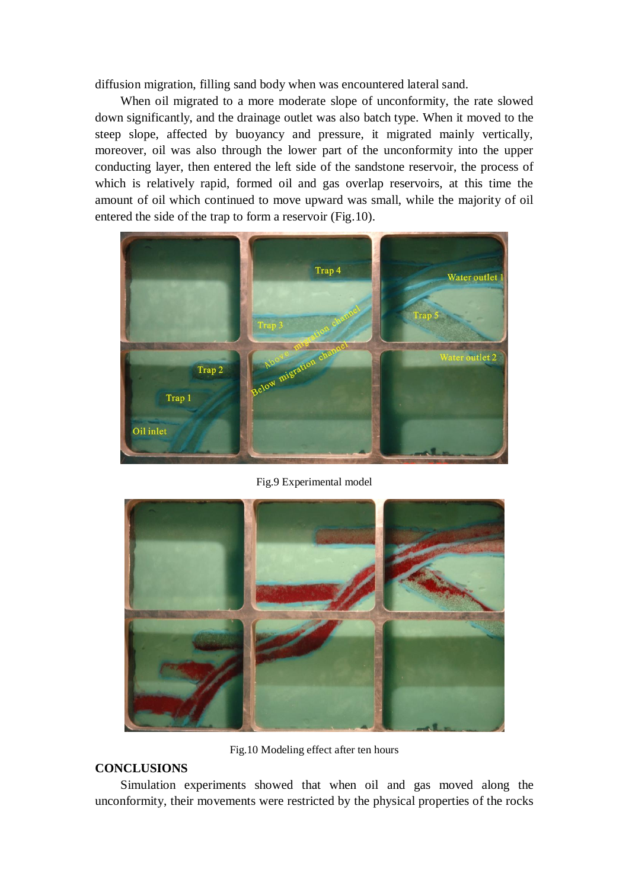diffusion migration, filling sand body when was encountered lateral sand.

When oil migrated to a more moderate slope of unconformity, the rate slowed down significantly, and the drainage outlet was also batch type. When it moved to the steep slope, affected by buoyancy and pressure, it migrated mainly vertically, moreover, oil was also through the lower part of the unconformity into the upper conducting layer, then entered the left side of the sandstone reservoir, the process of which is relatively rapid, formed oil and gas overlap reservoirs, at this time the amount of oil which continued to move upward was small, while the majority of oil entered the side of the trap to form a reservoir (Fig.10).



Fig.9 Experimental model



Fig.10 Modeling effect after ten hours

## **CONCLUSIONS**

Simulation experiments showed that when oil and gas moved along the unconformity, their movements were restricted by the physical properties of the rocks